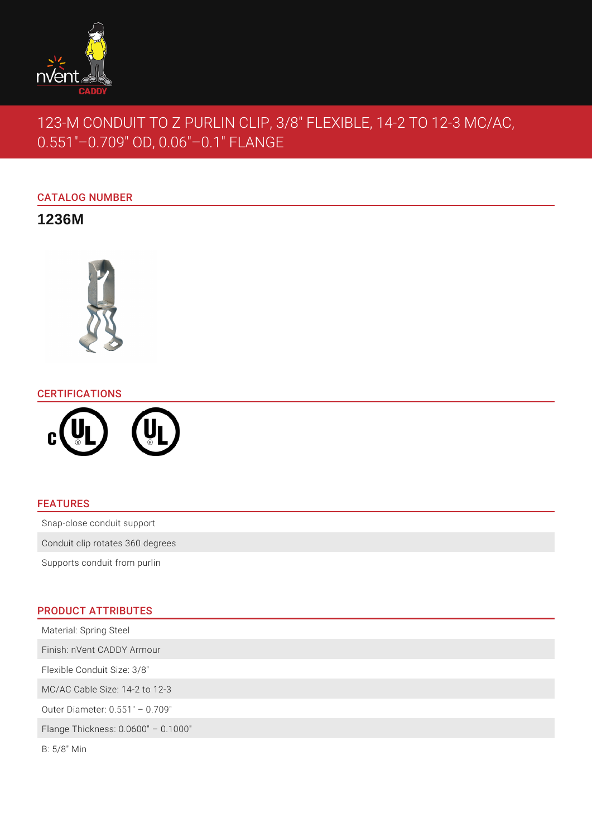

# 123-M CONDUIT TO Z PURLIN CLIP, 3/8" FLEXIBLE, 14-2 TO 12-3 MC/AC, 0.551"–0.709" OD, 0.06"–0.1" FLANGE

# CATALOG NUMBER

**1236M**



## CERTIFICATIONS



### FEATURES

Snap-close conduit support

Conduit clip rotates 360 degrees

Supports conduit from purlin

# PRODUCT ATTRIBUTES

Material: Spring Steel Finish: nVent CADDY Armour Flexible Conduit Size: 3/8" MC/AC Cable Size: 14-2 to 12-3 Outer Diameter: 0.551" – 0.709" Flange Thickness: 0.0600" – 0.1000"

B: 5/8" Min